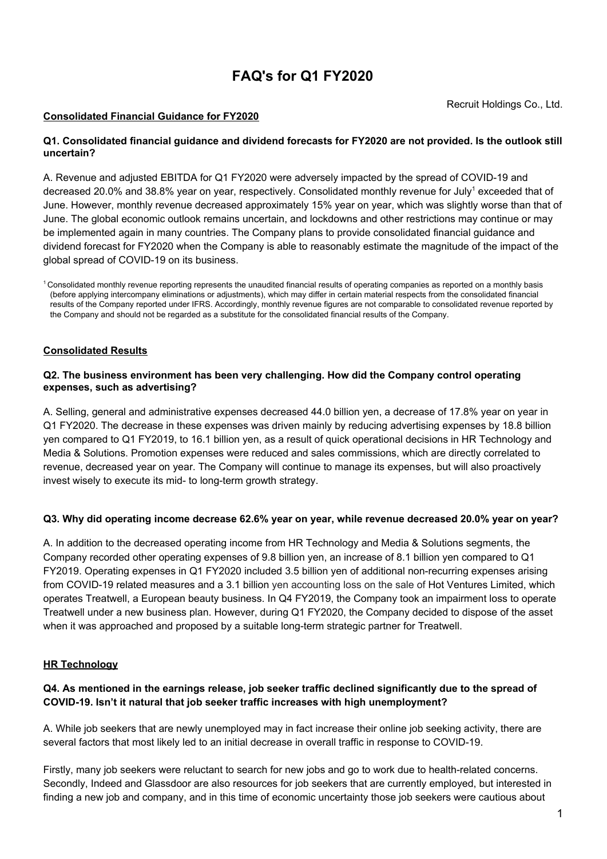# **FAQ's for Q1 FY2020**

#### **Consolidated Financial Guidance for FY2020**

#### **Q1. Consolidated financial guidance and dividend forecasts for FY2020 are not provided. Is the outlook still uncertain?**

A. Revenue and adjusted EBITDA for Q1 FY2020 were adversely impacted by the spread of COVID-19 and decreased 20.0% and 38.8% year on year, respectively. Consolidated monthly revenue for July<sup>1</sup> exceeded that of June. However, monthly revenue decreased approximately 15% year on year, which was slightly worse than that of June. The global economic outlook remains uncertain, and lockdowns and other restrictions may continue or may be implemented again in many countries. The Company plans to provide consolidated financial guidance and dividend forecast for FY2020 when the Company is able to reasonably estimate the magnitude of the impact of the global spread of COVID-19 on its business.

#### **Consolidated Results**

#### **Q2. The business environment has been very challenging. How did the Company control operating expenses, such as advertising?**

A. Selling, general and administrative expenses decreased 44.0 billion yen, a decrease of 17.8% year on year in Q1 FY2020. The decrease in these expenses was driven mainly by reducing advertising expenses by 18.8 billion yen compared to Q1 FY2019, to 16.1 billion yen, as a result of quick operational decisions in HR Technology and Media & Solutions. Promotion expenses were reduced and sales commissions, which are directly correlated to revenue, decreased year on year. The Company will continue to manage its expenses, but will also proactively invest wisely to execute its mid- to long-term growth strategy.

# **Q3. Why did operating income decrease 62.6% year on year, while revenue decreased 20.0% year on year?**

A. In addition to the decreased operating income from HR Technology and Media & Solutions segments, the Company recorded other operating expenses of 9.8 billion yen, an increase of 8.1 billion yen compared to Q1 FY2019. Operating expenses in Q1 FY2020 included 3.5 billion yen of additional non-recurring expenses arising from COVID-19 related measures and a 3.1 billion yen accounting loss on the sale of Hot Ventures Limited, which operates Treatwell, a European beauty business. In Q4 FY2019, the Company took an impairment loss to operate Treatwell under a new business plan. However, during Q1 FY2020, the Company decided to dispose of the asset when it was approached and proposed by a suitable long-term strategic partner for Treatwell.

# **HR Technology**

# **Q4. As mentioned in the earnings release, job seeker traffic declined significantly due to the spread of COVID-19. Isn't it natural that job seeker traffic increases with high unemployment?**

A. While job seekers that are newly unemployed may in fact increase their online job seeking activity, there are several factors that most likely led to an initial decrease in overall traffic in response to COVID-19.

Firstly, many job seekers were reluctant to search for new jobs and go to work due to health-related concerns. Secondly, Indeed and Glassdoor are also resources for job seekers that are currently employed, but interested in finding a new job and company, and in this time of economic uncertainty those job seekers were cautious about

<sup>&</sup>lt;sup>1</sup> Consolidated monthly revenue reporting represents the unaudited financial results of operating companies as reported on a monthly basis (before applying intercompany eliminations or adjustments), which may differ in certain material respects from the consolidated financial results of the Company reported under IFRS. Accordingly, monthly revenue figures are not comparable to consolidated revenue reported by the Company and should not be regarded as a substitute for the consolidated financial results of the Company.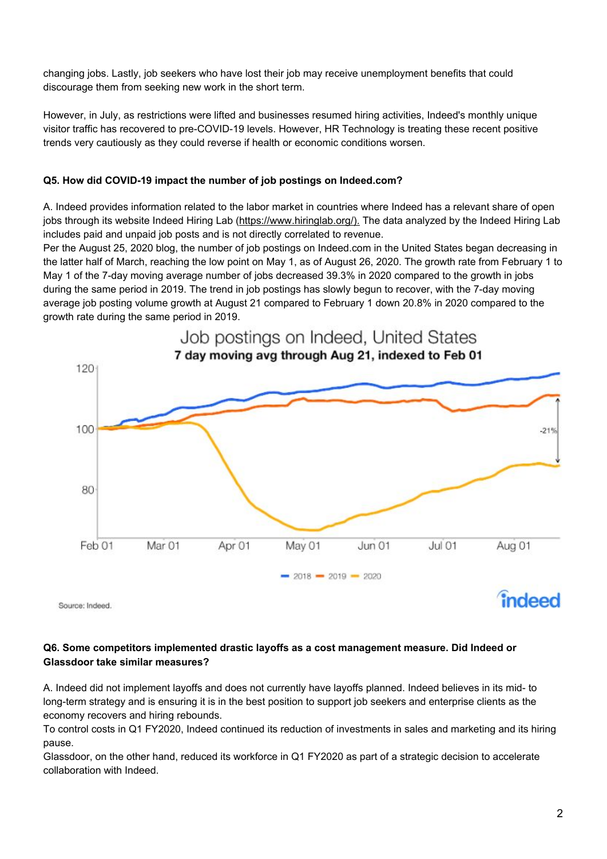changing jobs. Lastly, job seekers who have lost their job may receive unemployment benefits that could discourage them from seeking new work in the short term.

However, in July, as restrictions were lifted and businesses resumed hiring activities, Indeed's monthly unique visitor traffic has recovered to pre-COVID-19 levels. However, HR Technology is treating these recent positive trends very cautiously as they could reverse if health or economic conditions worsen.

## **Q5. How did COVID-19 impact the number of job postings on Indeed.com?**

A. Indeed provides information related to the labor market in countries where Indeed has a relevant share of open jobs through its website Indeed Hiring Lab ([https://www.hiringlab.org/\)](https://www.hiringlab.org/). The data analyzed by the Indeed Hiring Lab includes paid and unpaid job posts and is not directly correlated to revenue.

Per the August 25, 2020 blog, the number of job postings on Indeed.com in the United States began decreasing in the latter half of March, reaching the low point on May 1, as of August 26, 2020. The growth rate from February 1 to May 1 of the 7-day moving average number of jobs decreased 39.3% in 2020 compared to the growth in jobs during the same period in 2019. The trend in job postings has slowly begun to recover, with the 7-day moving average job posting volume growth at August 21 compared to February 1 down 20.8% in 2020 compared to the growth rate during the same period in 2019.



**Q6. Some competitors implemented drastic layoffs as a cost management measure. Did Indeed or Glassdoor take similar measures?**

A. Indeed did not implement layoffs and does not currently have layoffs planned. Indeed believes in its mid- to long-term strategy and is ensuring it is in the best position to support job seekers and enterprise clients as the economy recovers and hiring rebounds.

To control costs in Q1 FY2020, Indeed continued its reduction of investments in sales and marketing and its hiring pause.

Glassdoor, on the other hand, reduced its workforce in Q1 FY2020 as part of a strategic decision to accelerate collaboration with Indeed.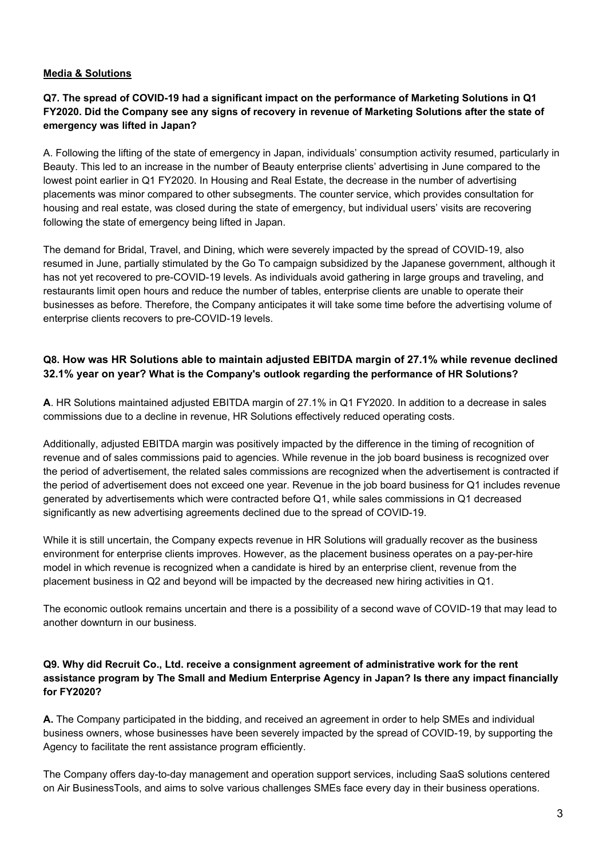## **Media & Solutions**

# **Q7. The spread of COVID-19 had a significant impact on the performance of Marketing Solutions in Q1** FY2020. Did the Company see any signs of recovery in revenue of Marketing Solutions after the state of **emergency was lifted in Japan?**

A. Following the lifting of the state of emergency in Japan, individuals' consumption activity resumed, particularly in Beauty. This led to an increase in the number of Beauty enterprise clients' advertising in June compared to the lowest point earlier in Q1 FY2020. In Housing and Real Estate, the decrease in the number of advertising placements was minor compared to other subsegments. The counter service, which provides consultation for housing and real estate, was closed during the state of emergency, but individual users' visits are recovering following the state of emergency being lifted in Japan.

The demand for Bridal, Travel, and Dining, which were severely impacted by the spread of COVID-19, also resumed in June, partially stimulated by the Go To campaign subsidized by the Japanese government, although it has not yet recovered to pre-COVID-19 levels. As individuals avoid gathering in large groups and traveling, and restaurants limit open hours and reduce the number of tables, enterprise clients are unable to operate their businesses as before. Therefore, the Company anticipates it will take some time before the advertising volume of enterprise clients recovers to pre-COVID-19 levels.

# **Q8. How was HR Solutions able to maintain adjusted EBITDA margin of 27.1% while revenue declined 32.1% year on year? What is the Company's outlook regarding the performance of HR Solutions?**

**A**. HR Solutions maintained adjusted EBITDA margin of 27.1% in Q1 FY2020. In addition to a decrease in sales commissions due to a decline in revenue, HR Solutions effectively reduced operating costs.

Additionally, adjusted EBITDA margin was positively impacted by the difference in the timing of recognition of revenue and of sales commissions paid to agencies. While revenue in the job board business is recognized over the period of advertisement, the related sales commissions are recognized when the advertisement is contracted if the period of advertisement does not exceed one year. Revenue in the job board business for Q1 includes revenue generated by advertisements which were contracted before Q1, while sales commissions in Q1 decreased significantly as new advertising agreements declined due to the spread of COVID-19.

While it is still uncertain, the Company expects revenue in HR Solutions will gradually recover as the business environment for enterprise clients improves. However, as the placement business operates on a pay-per-hire model in which revenue is recognized when a candidate is hired by an enterprise client, revenue from the placement business in Q2 and beyond will be impacted by the decreased new hiring activities in Q1.

The economic outlook remains uncertain and there is a possibility of a second wave of COVID-19 that may lead to another downturn in our business.

# **Q9. Why did Recruit Co., Ltd. receive a consignment agreement of administrative work for the rent assistance program by The Small and Medium Enterprise Agency in Japan? Is there any impact financially for FY2020?**

**A.** The Company participated in the bidding, and received an agreement in order to help SMEs and individual business owners, whose businesses have been severely impacted by the spread of COVID-19, by supporting the Agency to facilitate the rent assistance program efficiently.

The Company offers day-to-day management and operation support services, including SaaS solutions centered on Air BusinessTools, and aims to solve various challenges SMEs face every day in their business operations.